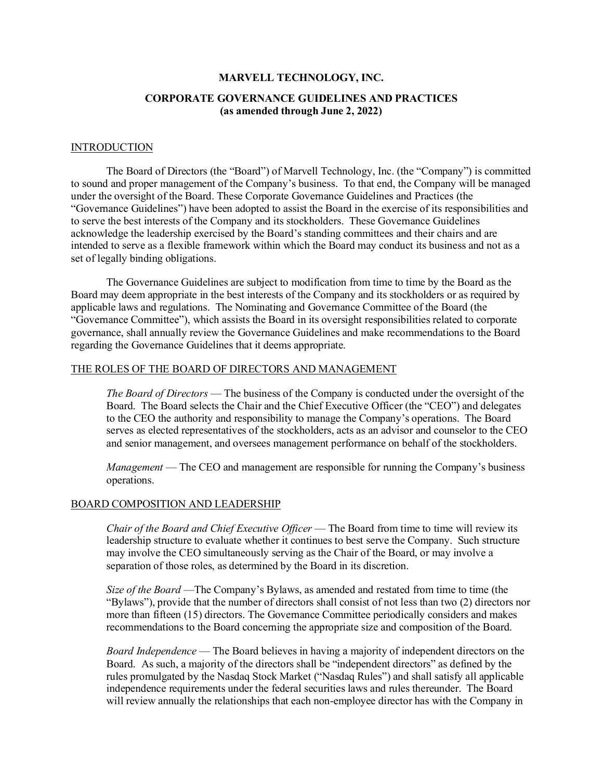#### **MARVELL TECHNOLOGY, INC.**

# **CORPORATE GOVERNANCE GUIDELINES AND PRACTICES (as amended through June 2, 2022)**

### **INTRODUCTION**

The Board of Directors (the "Board") of Marvell Technology, Inc. (the "Company") is committed to sound and proper management of the Company's business. To that end, the Company will be managed under the oversight of the Board. These Corporate Governance Guidelines and Practices (the "Governance Guidelines") have been adopted to assist the Board in the exercise of its responsibilities and to serve the best interests of the Company and its stockholders. These Governance Guidelines acknowledge the leadership exercised by the Board's standing committees and their chairs and are intended to serve as a flexible framework within which the Board may conduct its business and not as a set of legally binding obligations.

The Governance Guidelines are subject to modification from time to time by the Board as the Board may deem appropriate in the best interests of the Company and its stockholders or as required by applicable laws and regulations. The Nominating and Governance Committee of the Board (the "Governance Committee"), which assists the Board in its oversight responsibilities related to corporate governance, shall annually review the Governance Guidelines and make recommendations to the Board regarding the Governance Guidelines that it deems appropriate.

### THE ROLES OF THE BOARD OF DIRECTORS AND MANAGEMENT

*The Board of Directors* — The business of the Company is conducted under the oversight of the Board. The Board selects the Chair and the Chief Executive Officer (the "CEO") and delegates to the CEO the authority and responsibility to manage the Company's operations. The Board serves as elected representatives of the stockholders, acts as an advisor and counselor to the CEO and senior management, and oversees management performance on behalf of the stockholders.

*Management* — The CEO and management are responsible for running the Company's business operations.

### BOARD COMPOSITION AND LEADERSHIP

*Chair of the Board and Chief Executive Officer* — The Board from time to time will review its leadership structure to evaluate whether it continues to best serve the Company. Such structure may involve the CEO simultaneously serving as the Chair of the Board, or may involve a separation of those roles, as determined by the Board in its discretion.

*Size of the Board* —The Company's Bylaws, as amended and restated from time to time (the "Bylaws"), provide that the number of directors shall consist of not less than two (2) directors nor more than fifteen (15) directors. The Governance Committee periodically considers and makes recommendations to the Board concerning the appropriate size and composition of the Board.

*Board Independence* — The Board believes in having a majority of independent directors on the Board. As such, a majority of the directors shall be "independent directors" as defined by the rules promulgated by the Nasdaq Stock Market ("Nasdaq Rules") and shall satisfy all applicable independence requirements under the federal securities laws and rules thereunder. The Board will review annually the relationships that each non-employee director has with the Company in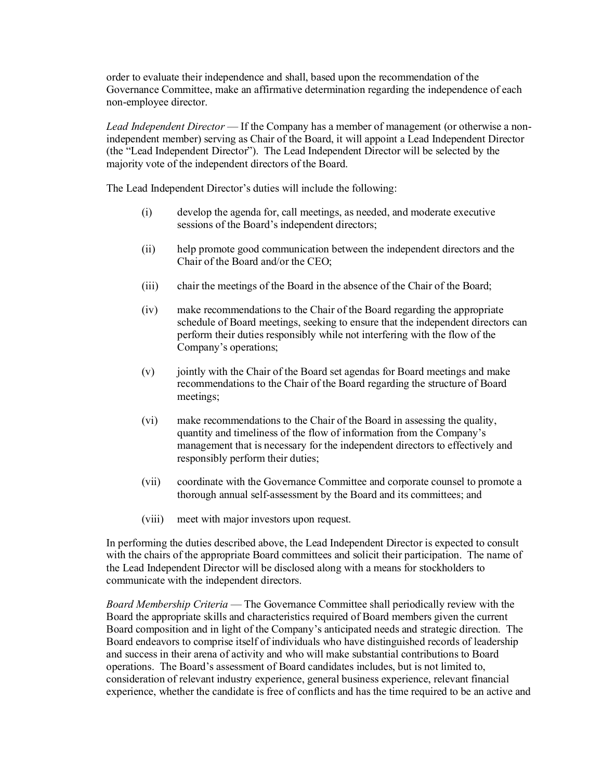order to evaluate their independence and shall, based upon the recommendation of the Governance Committee, make an affirmative determination regarding the independence of each non-employee director.

*Lead Independent Director* — If the Company has a member of management (or otherwise a nonindependent member) serving as Chair of the Board, it will appoint a Lead Independent Director (the "Lead Independent Director"). The Lead Independent Director will be selected by the majority vote of the independent directors of the Board.

The Lead Independent Director's duties will include the following:

- (i) develop the agenda for, call meetings, as needed, and moderate executive sessions of the Board's independent directors;
- (ii) help promote good communication between the independent directors and the Chair of the Board and/or the CEO;
- (iii) chair the meetings of the Board in the absence of the Chair of the Board;
- (iv) make recommendations to the Chair of the Board regarding the appropriate schedule of Board meetings, seeking to ensure that the independent directors can perform their duties responsibly while not interfering with the flow of the Company's operations;
- (v) jointly with the Chair of the Board set agendas for Board meetings and make recommendations to the Chair of the Board regarding the structure of Board meetings;
- (vi) make recommendations to the Chair of the Board in assessing the quality, quantity and timeliness of the flow of information from the Company's management that is necessary for the independent directors to effectively and responsibly perform their duties;
- (vii) coordinate with the Governance Committee and corporate counsel to promote a thorough annual self-assessment by the Board and its committees; and
- (viii) meet with major investors upon request.

In performing the duties described above, the Lead Independent Director is expected to consult with the chairs of the appropriate Board committees and solicit their participation. The name of the Lead Independent Director will be disclosed along with a means for stockholders to communicate with the independent directors.

*Board Membership Criteria* — The Governance Committee shall periodically review with the Board the appropriate skills and characteristics required of Board members given the current Board composition and in light of the Company's anticipated needs and strategic direction. The Board endeavors to comprise itself of individuals who have distinguished records of leadership and success in their arena of activity and who will make substantial contributions to Board operations. The Board's assessment of Board candidates includes, but is not limited to, consideration of relevant industry experience, general business experience, relevant financial experience, whether the candidate is free of conflicts and has the time required to be an active and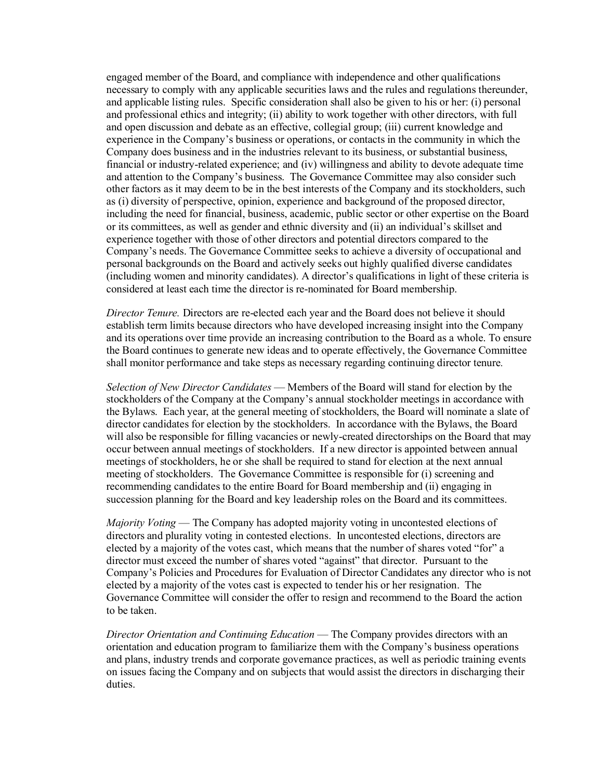engaged member of the Board, and compliance with independence and other qualifications necessary to comply with any applicable securities laws and the rules and regulations thereunder, and applicable listing rules. Specific consideration shall also be given to his or her: (i) personal and professional ethics and integrity; (ii) ability to work together with other directors, with full and open discussion and debate as an effective, collegial group; (iii) current knowledge and experience in the Company's business or operations, or contacts in the community in which the Company does business and in the industries relevant to its business, or substantial business, financial or industry-related experience; and (iv) willingness and ability to devote adequate time and attention to the Company's business. The Governance Committee may also consider such other factors as it may deem to be in the best interests of the Company and its stockholders, such as (i) diversity of perspective, opinion, experience and background of the proposed director, including the need for financial, business, academic, public sector or other expertise on the Board or its committees, as well as gender and ethnic diversity and (ii) an individual's skillset and experience together with those of other directors and potential directors compared to the Company's needs. The Governance Committee seeks to achieve a diversity of occupational and personal backgrounds on the Board and actively seeks out highly qualified diverse candidates (including women and minority candidates). A director's qualifications in light of these criteria is considered at least each time the director is re-nominated for Board membership.

*Director Tenure.* Directors are re-elected each year and the Board does not believe it should establish term limits because directors who have developed increasing insight into the Company and its operations over time provide an increasing contribution to the Board as a whole. To ensure the Board continues to generate new ideas and to operate effectively, the Governance Committee shall monitor performance and take steps as necessary regarding continuing director tenure*.*

*Selection of New Director Candidates* — Members of the Board will stand for election by the stockholders of the Company at the Company's annual stockholder meetings in accordance with the Bylaws. Each year, at the general meeting of stockholders, the Board will nominate a slate of director candidates for election by the stockholders. In accordance with the Bylaws, the Board will also be responsible for filling vacancies or newly-created directorships on the Board that may occur between annual meetings of stockholders. If a new director is appointed between annual meetings of stockholders, he or she shall be required to stand for election at the next annual meeting of stockholders. The Governance Committee is responsible for (i) screening and recommending candidates to the entire Board for Board membership and (ii) engaging in succession planning for the Board and key leadership roles on the Board and its committees.

*Majority Voting* — The Company has adopted majority voting in uncontested elections of directors and plurality voting in contested elections. In uncontested elections, directors are elected by a majority of the votes cast, which means that the number of shares voted "for" a director must exceed the number of shares voted "against" that director. Pursuant to the Company's Policies and Procedures for Evaluation of Director Candidates any director who is not elected by a majority of the votes cast is expected to tender his or her resignation. The Governance Committee will consider the offer to resign and recommend to the Board the action to be taken.

*Director Orientation and Continuing Education* — The Company provides directors with an orientation and education program to familiarize them with the Company's business operations and plans, industry trends and corporate governance practices, as well as periodic training events on issues facing the Company and on subjects that would assist the directors in discharging their duties.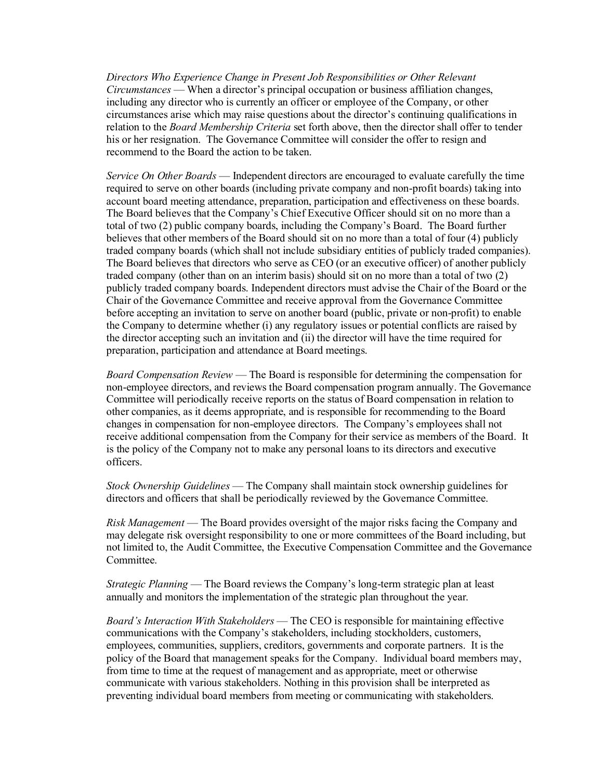*Directors Who Experience Change in Present Job Responsibilities or Other Relevant Circumstances* — When a director's principal occupation or business affiliation changes, including any director who is currently an officer or employee of the Company, or other circumstances arise which may raise questions about the director's continuing qualifications in relation to the *Board Membership Criteria* set forth above, then the director shall offer to tender his or her resignation. The Governance Committee will consider the offer to resign and recommend to the Board the action to be taken.

*Service On Other Boards* — Independent directors are encouraged to evaluate carefully the time required to serve on other boards (including private company and non-profit boards) taking into account board meeting attendance, preparation, participation and effectiveness on these boards. The Board believes that the Company's Chief Executive Officer should sit on no more than a total of two (2) public company boards, including the Company's Board. The Board further believes that other members of the Board should sit on no more than a total of four (4) publicly traded company boards (which shall not include subsidiary entities of publicly traded companies). The Board believes that directors who serve as CEO (or an executive officer) of another publicly traded company (other than on an interim basis) should sit on no more than a total of two (2) publicly traded company boards. Independent directors must advise the Chair of the Board or the Chair of the Governance Committee and receive approval from the Governance Committee before accepting an invitation to serve on another board (public, private or non-profit) to enable the Company to determine whether (i) any regulatory issues or potential conflicts are raised by the director accepting such an invitation and (ii) the director will have the time required for preparation, participation and attendance at Board meetings.

*Board Compensation Review* — The Board is responsible for determining the compensation for non-employee directors, and reviews the Board compensation program annually. The Governance Committee will periodically receive reports on the status of Board compensation in relation to other companies, as it deems appropriate, and is responsible for recommending to the Board changes in compensation for non-employee directors. The Company's employees shall not receive additional compensation from the Company for their service as members of the Board. It is the policy of the Company not to make any personal loans to its directors and executive officers.

*Stock Ownership Guidelines* — The Company shall maintain stock ownership guidelines for directors and officers that shall be periodically reviewed by the Governance Committee.

*Risk Management* — The Board provides oversight of the major risks facing the Company and may delegate risk oversight responsibility to one or more committees of the Board including, but not limited to, the Audit Committee, the Executive Compensation Committee and the Governance Committee.

*Strategic Planning* — The Board reviews the Company's long-term strategic plan at least annually and monitors the implementation of the strategic plan throughout the year.

*Board's Interaction With Stakeholders* — The CEO is responsible for maintaining effective communications with the Company's stakeholders, including stockholders, customers, employees, communities, suppliers, creditors, governments and corporate partners. It is the policy of the Board that management speaks for the Company. Individual board members may, from time to time at the request of management and as appropriate, meet or otherwise communicate with various stakeholders. Nothing in this provision shall be interpreted as preventing individual board members from meeting or communicating with stakeholders.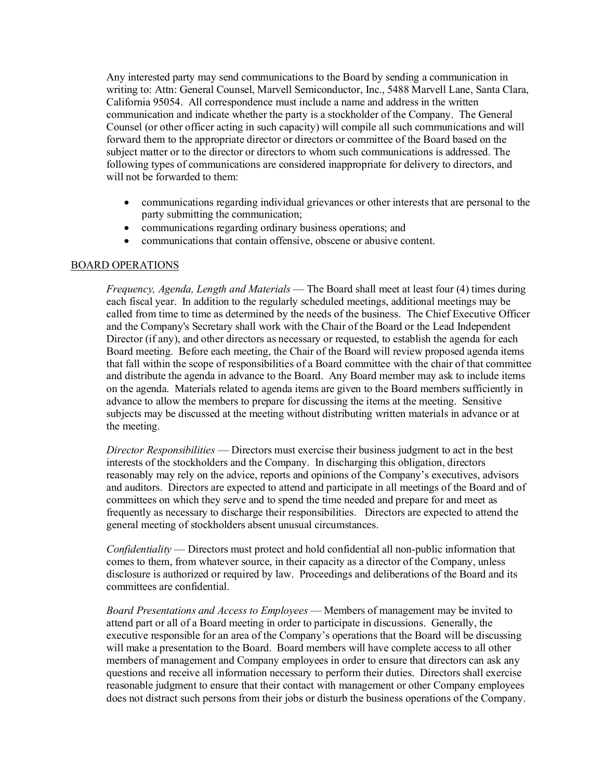Any interested party may send communications to the Board by sending a communication in writing to: Attn: General Counsel, Marvell Semiconductor, Inc., 5488 Marvell Lane, Santa Clara, California 95054. All correspondence must include a name and address in the written communication and indicate whether the party is a stockholder of the Company. The General Counsel (or other officer acting in such capacity) will compile all such communications and will forward them to the appropriate director or directors or committee of the Board based on the subject matter or to the director or directors to whom such communications is addressed. The following types of communications are considered inappropriate for delivery to directors, and will not be forwarded to them:

- communications regarding individual grievances or other interests that are personal to the party submitting the communication;
- communications regarding ordinary business operations; and
- communications that contain offensive, obscene or abusive content.

### BOARD OPERATIONS

*Frequency, Agenda, Length and Materials* — The Board shall meet at least four (4) times during each fiscal year. In addition to the regularly scheduled meetings, additional meetings may be called from time to time as determined by the needs of the business. The Chief Executive Officer and the Company's Secretary shall work with the Chair of the Board or the Lead Independent Director (if any), and other directors as necessary or requested, to establish the agenda for each Board meeting. Before each meeting, the Chair of the Board will review proposed agenda items that fall within the scope of responsibilities of a Board committee with the chair of that committee and distribute the agenda in advance to the Board. Any Board member may ask to include items on the agenda. Materials related to agenda items are given to the Board members sufficiently in advance to allow the members to prepare for discussing the items at the meeting. Sensitive subjects may be discussed at the meeting without distributing written materials in advance or at the meeting.

*Director Responsibilities* — Directors must exercise their business judgment to act in the best interests of the stockholders and the Company. In discharging this obligation, directors reasonably may rely on the advice, reports and opinions of the Company's executives, advisors and auditors. Directors are expected to attend and participate in all meetings of the Board and of committees on which they serve and to spend the time needed and prepare for and meet as frequently as necessary to discharge their responsibilities. Directors are expected to attend the general meeting of stockholders absent unusual circumstances.

*Confidentiality* — Directors must protect and hold confidential all non-public information that comes to them, from whatever source, in their capacity as a director of the Company, unless disclosure is authorized or required by law. Proceedings and deliberations of the Board and its committees are confidential.

*Board Presentations and Access to Employees* — Members of management may be invited to attend part or all of a Board meeting in order to participate in discussions. Generally, the executive responsible for an area of the Company's operations that the Board will be discussing will make a presentation to the Board. Board members will have complete access to all other members of management and Company employees in order to ensure that directors can ask any questions and receive all information necessary to perform their duties. Directors shall exercise reasonable judgment to ensure that their contact with management or other Company employees does not distract such persons from their jobs or disturb the business operations of the Company.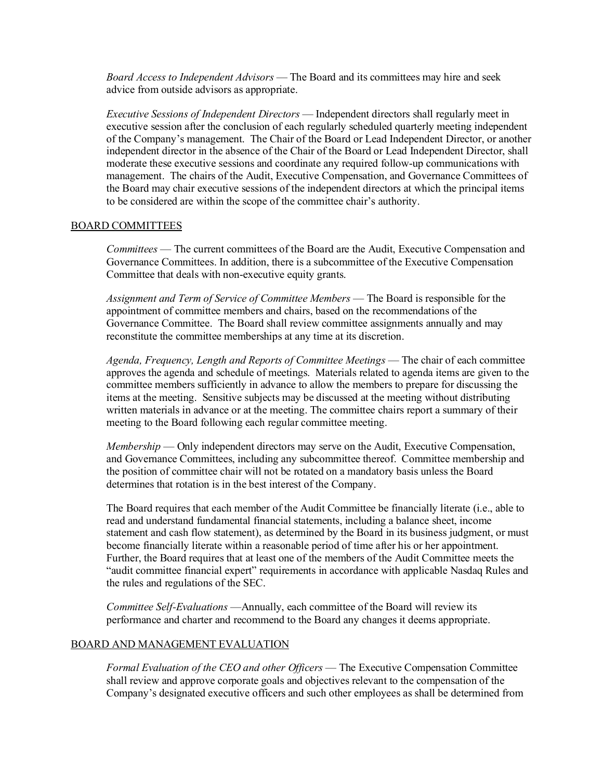*Board Access to Independent Advisors* — The Board and its committees may hire and seek advice from outside advisors as appropriate.

*Executive Sessions of Independent Directors* — Independent directors shall regularly meet in executive session after the conclusion of each regularly scheduled quarterly meeting independent of the Company's management. The Chair of the Board or Lead Independent Director, or another independent director in the absence of the Chair of the Board or Lead Independent Director, shall moderate these executive sessions and coordinate any required follow-up communications with management. The chairs of the Audit, Executive Compensation, and Governance Committees of the Board may chair executive sessions of the independent directors at which the principal items to be considered are within the scope of the committee chair's authority.

### BOARD COMMITTEES

*Committees* — The current committees of the Board are the Audit, Executive Compensation and Governance Committees. In addition, there is a subcommittee of the Executive Compensation Committee that deals with non-executive equity grants.

*Assignment and Term of Service of Committee Members* — The Board is responsible for the appointment of committee members and chairs, based on the recommendations of the Governance Committee. The Board shall review committee assignments annually and may reconstitute the committee memberships at any time at its discretion.

*Agenda, Frequency, Length and Reports of Committee Meetings* — The chair of each committee approves the agenda and schedule of meetings. Materials related to agenda items are given to the committee members sufficiently in advance to allow the members to prepare for discussing the items at the meeting. Sensitive subjects may be discussed at the meeting without distributing written materials in advance or at the meeting. The committee chairs report a summary of their meeting to the Board following each regular committee meeting.

*Membership* — Only independent directors may serve on the Audit, Executive Compensation, and Governance Committees, including any subcommittee thereof. Committee membership and the position of committee chair will not be rotated on a mandatory basis unless the Board determines that rotation is in the best interest of the Company.

The Board requires that each member of the Audit Committee be financially literate (i.e., able to read and understand fundamental financial statements, including a balance sheet, income statement and cash flow statement), as determined by the Board in its business judgment, or must become financially literate within a reasonable period of time after his or her appointment. Further, the Board requires that at least one of the members of the Audit Committee meets the "audit committee financial expert" requirements in accordance with applicable Nasdaq Rules and the rules and regulations of the SEC.

*Committee Self-Evaluations* —Annually, each committee of the Board will review its performance and charter and recommend to the Board any changes it deems appropriate.

### BOARD AND MANAGEMENT EVALUATION

*Formal Evaluation of the CEO and other Officers* — The Executive Compensation Committee shall review and approve corporate goals and objectives relevant to the compensation of the Company's designated executive officers and such other employees as shall be determined from